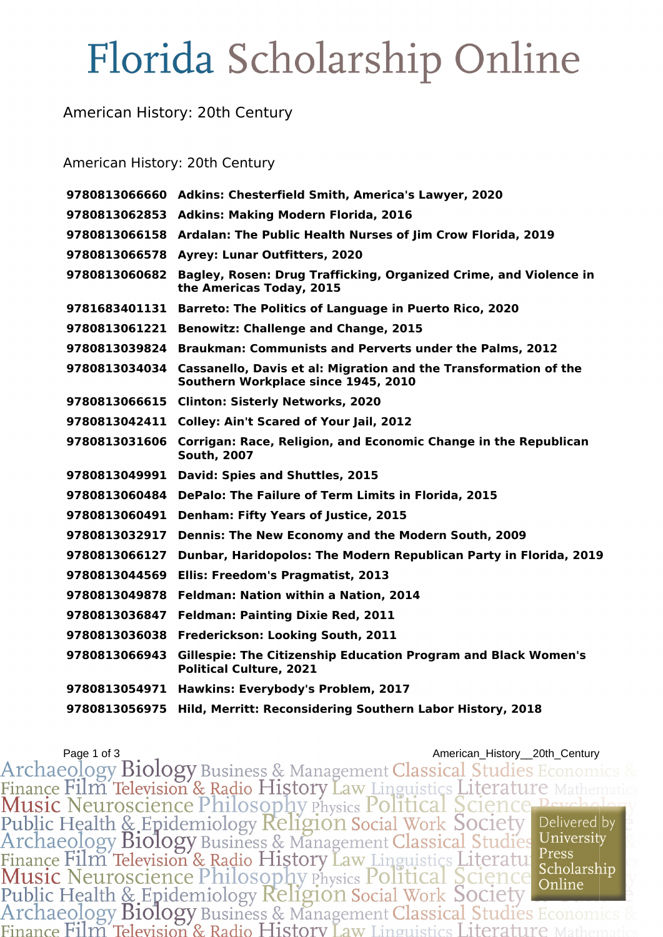# Florida Scholarship Online

### American History: 20th Century

#### American History: 20th Century

|               | 9780813066660 Adkins: Chesterfield Smith, America's Lawyer, 2020                                        |
|---------------|---------------------------------------------------------------------------------------------------------|
| 9780813062853 | <b>Adkins: Making Modern Florida, 2016</b>                                                              |
| 9780813066158 | Ardalan: The Public Health Nurses of Jim Crow Florida, 2019                                             |
| 9780813066578 | <b>Ayrey: Lunar Outfitters, 2020</b>                                                                    |
| 9780813060682 | Bagley, Rosen: Drug Trafficking, Organized Crime, and Violence in<br>the Americas Today, 2015           |
| 9781683401131 | <b>Barreto: The Politics of Language in Puerto Rico, 2020</b>                                           |
| 9780813061221 | <b>Benowitz: Challenge and Change, 2015</b>                                                             |
| 9780813039824 | Braukman: Communists and Perverts under the Palms, 2012                                                 |
| 9780813034034 | Cassanello, Davis et al: Migration and the Transformation of the<br>Southern Workplace since 1945, 2010 |
| 9780813066615 | <b>Clinton: Sisterly Networks, 2020</b>                                                                 |
| 9780813042411 | <b>Colley: Ain't Scared of Your Jail, 2012</b>                                                          |
| 9780813031606 | Corrigan: Race, Religion, and Economic Change in the Republican<br><b>South, 2007</b>                   |
| 9780813049991 | David: Spies and Shuttles, 2015                                                                         |
| 9780813060484 | DePalo: The Failure of Term Limits in Florida, 2015                                                     |
| 9780813060491 | <b>Denham: Fifty Years of Justice, 2015</b>                                                             |
| 9780813032917 | Dennis: The New Economy and the Modern South, 2009                                                      |
| 9780813066127 | Dunbar, Haridopolos: The Modern Republican Party in Florida, 2019                                       |
| 9780813044569 | Ellis: Freedom's Pragmatist, 2013                                                                       |
| 9780813049878 | Feldman: Nation within a Nation, 2014                                                                   |
| 9780813036847 | <b>Feldman: Painting Dixie Red, 2011</b>                                                                |
| 9780813036038 | Frederickson: Looking South, 2011                                                                       |
| 9780813066943 | Gillespie: The Citizenship Education Program and Black Women's<br><b>Political Culture, 2021</b>        |
| 9780813054971 | Hawkins: Everybody's Problem, 2017                                                                      |
| 9780813056975 | Hild, Merritt: Reconsidering Southern Labor History, 2018                                               |

Page 1 of 3<br>Archaeology Biology Business & Management Classical Studies Economics &<br>Finance Film Television & Radio History Law Linguistics Literature Mathematics<br>Music Neuroscience Philosophy Physics Political Science Bay Archaeology Biology Business & Management Classical Studies Officers<br>Finance Film Television & Radio History Law Linguistics Literatule Press<br>Music Neuroscience Philosophy Physics Political Science Scholarship<br>Public Healt Scholarship Finance Film Television & Radio History Law Linguistics Literature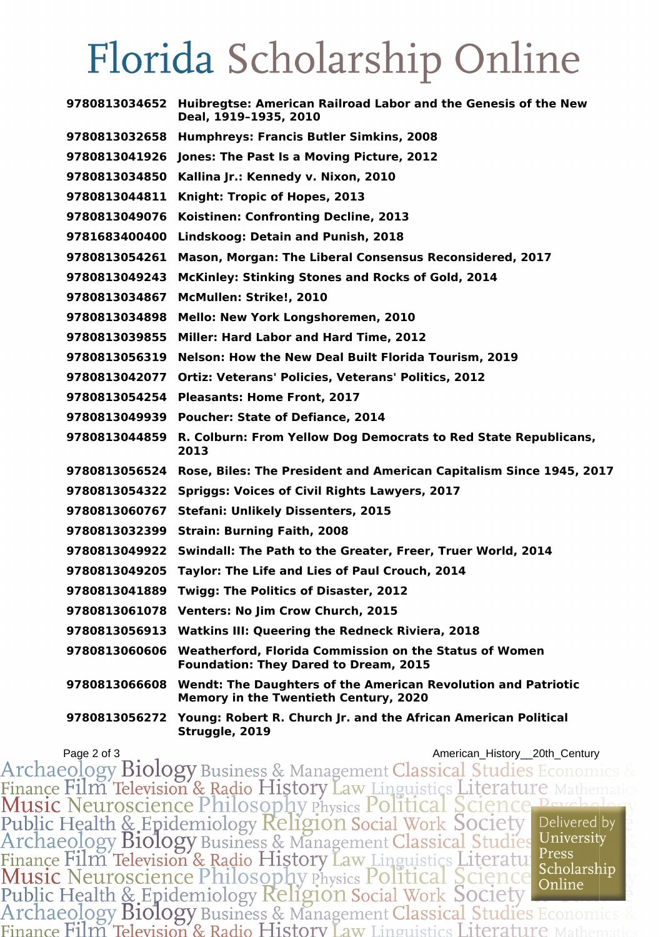## Florida Scholarship Online

| 9780813034652 | Huibregtse: American Railroad Labor and the Genesis of the New<br>Deal, 1919-1935, 2010                              |
|---------------|----------------------------------------------------------------------------------------------------------------------|
| 9780813032658 | <b>Humphreys: Francis Butler Simkins, 2008</b>                                                                       |
| 9780813041926 | Jones: The Past Is a Moving Picture, 2012                                                                            |
| 9780813034850 | Kallina Jr.: Kennedy v. Nixon, 2010                                                                                  |
| 9780813044811 | Knight: Tropic of Hopes, 2013                                                                                        |
| 9780813049076 | Koistinen: Confronting Decline, 2013                                                                                 |
| 9781683400400 | Lindskoog: Detain and Punish, 2018                                                                                   |
| 9780813054261 | Mason, Morgan: The Liberal Consensus Reconsidered, 2017                                                              |
| 9780813049243 | <b>McKinley: Stinking Stones and Rocks of Gold, 2014</b>                                                             |
| 9780813034867 | McMullen: Strike!, 2010                                                                                              |
| 9780813034898 | Mello: New York Longshoremen, 2010                                                                                   |
| 9780813039855 | Miller: Hard Labor and Hard Time, 2012                                                                               |
| 9780813056319 | <b>Nelson: How the New Deal Built Florida Tourism, 2019</b>                                                          |
| 9780813042077 | <b>Ortiz: Veterans' Policies, Veterans' Politics, 2012</b>                                                           |
| 9780813054254 | <b>Pleasants: Home Front, 2017</b>                                                                                   |
| 9780813049939 | <b>Poucher: State of Defiance, 2014</b>                                                                              |
| 9780813044859 | R. Colburn: From Yellow Dog Democrats to Red State Republicans,<br>2013                                              |
| 9780813056524 | Rose, Biles: The President and American Capitalism Since 1945, 2017                                                  |
| 9780813054322 | <b>Spriggs: Voices of Civil Rights Lawyers, 2017</b>                                                                 |
| 9780813060767 | <b>Stefani: Unlikely Dissenters, 2015</b>                                                                            |
| 9780813032399 | <b>Strain: Burning Faith, 2008</b>                                                                                   |
| 9780813049922 | Swindall: The Path to the Greater, Freer, Truer World, 2014                                                          |
| 9780813049205 | Taylor: The Life and Lies of Paul Crouch, 2014                                                                       |
| 9780813041889 | <b>Twigg: The Politics of Disaster, 2012</b>                                                                         |
|               | 9780813061078 Venters: No Jim Crow Church, 2015                                                                      |
|               | 9780813056913 Watkins III: Queering the Redneck Riviera, 2018                                                        |
|               | 9780813060606 Weatherford, Florida Commission on the Status of Women<br><b>Foundation: They Dared to Dream, 2015</b> |
| 9780813066608 | <b>Wendt: The Daughters of the American Revolution and Patriotic</b><br>Memory in the Twentieth Century, 2020        |
| 9780813056272 | Young: Robert R. Church Jr. and the African American Political<br>Struggle, 2019                                     |

Page 2 of 3<br>Archaeology Biology Business & Management Classical Studies Economics & Finance Film Television & Radio History Law Linguistics Literature Mathematics<br>Music Neuroscience Philosophy Physics Political Science Peychology<br>Public Health & Epidemiology Religion Social Work Society<br>Archaeology Biolog Finance Film Television & Radio History Law Linguistics Literature Press<br>Music Neuroscience Philosophy Physics Political Science Scholarship<br>Public Health & Epidemiology Religion Social Work Society<br>Archaeology Biology Bus Finance Film Television & Radio History Law Linguistics Literature N